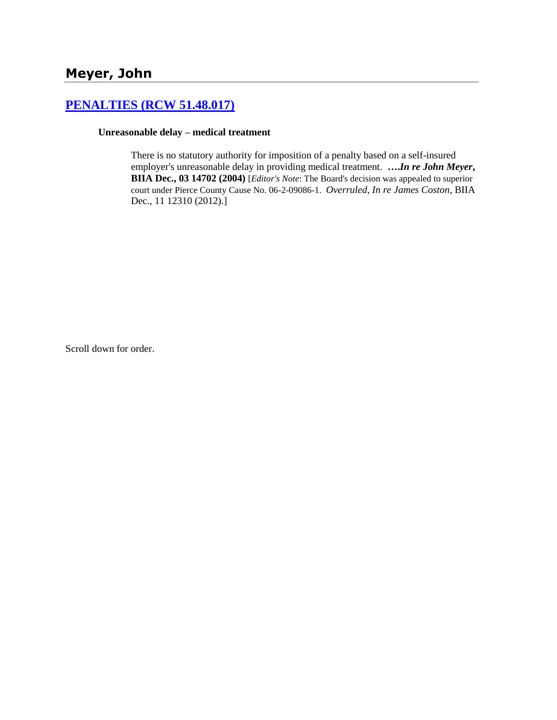# **[PENALTIES \(RCW 51.48.017\)](http://www.biia.wa.gov/SDSubjectIndex.html#PENALTIES)**

#### **Unreasonable delay – medical treatment**

There is no statutory authority for imposition of a penalty based on a self-insured employer's unreasonable delay in providing medical treatment. **….***In re John Meyer***, BIIA Dec., 03 14702 (2004)** [*Editor's Note*: The Board's decision was appealed to superior court under Pierce County Cause No. 06-2-09086-1. *Overruled, In re James Coston*, BIIA Dec., 11 12310 (2012).]

Scroll down for order.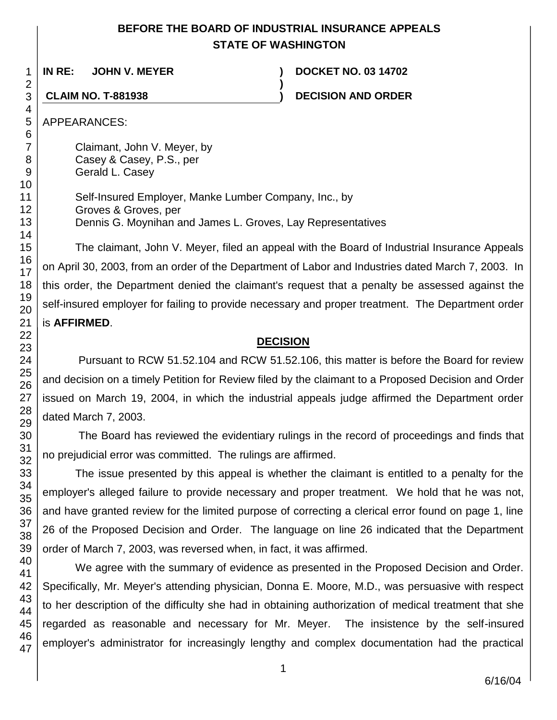## **BEFORE THE BOARD OF INDUSTRIAL INSURANCE APPEALS STATE OF WASHINGTON**

**)**

**IN RE: JOHN V. MEYER ) DOCKET NO. 03 14702**

**CLAIM NO. T-881938 ) DECISION AND ORDER**

APPEARANCES:

Claimant, John V. Meyer, by Casey & Casey, P.S., per Gerald L. Casey

Self-Insured Employer, Manke Lumber Company, Inc., by Groves & Groves, per Dennis G. Moynihan and James L. Groves, Lay Representatives

The claimant, John V. Meyer, filed an appeal with the Board of Industrial Insurance Appeals on April 30, 2003, from an order of the Department of Labor and Industries dated March 7, 2003. In this order, the Department denied the claimant's request that a penalty be assessed against the self-insured employer for failing to provide necessary and proper treatment. The Department order is **AFFIRMED**.

#### **DECISION**

Pursuant to RCW 51.52.104 and RCW 51.52.106, this matter is before the Board for review and decision on a timely Petition for Review filed by the claimant to a Proposed Decision and Order issued on March 19, 2004, in which the industrial appeals judge affirmed the Department order dated March 7, 2003.

The Board has reviewed the evidentiary rulings in the record of proceedings and finds that no prejudicial error was committed. The rulings are affirmed.

The issue presented by this appeal is whether the claimant is entitled to a penalty for the employer's alleged failure to provide necessary and proper treatment. We hold that he was not, and have granted review for the limited purpose of correcting a clerical error found on page 1, line 26 of the Proposed Decision and Order. The language on line 26 indicated that the Department order of March 7, 2003, was reversed when, in fact, it was affirmed.

We agree with the summary of evidence as presented in the Proposed Decision and Order. Specifically, Mr. Meyer's attending physician, Donna E. Moore, M.D., was persuasive with respect to her description of the difficulty she had in obtaining authorization of medical treatment that she regarded as reasonable and necessary for Mr. Meyer. The insistence by the self-insured employer's administrator for increasingly lengthy and complex documentation had the practical

47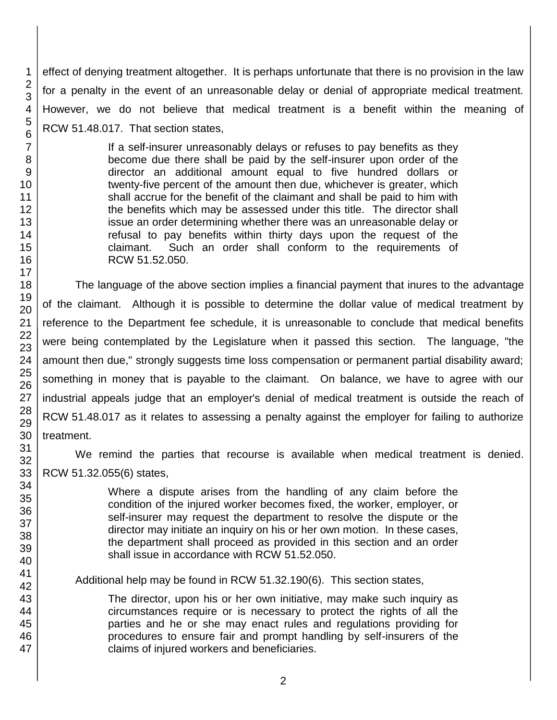effect of denying treatment altogether. It is perhaps unfortunate that there is no provision in the law for a penalty in the event of an unreasonable delay or denial of appropriate medical treatment. However, we do not believe that medical treatment is a benefit within the meaning of RCW 51.48.017. That section states,

> If a self-insurer unreasonably delays or refuses to pay benefits as they become due there shall be paid by the self-insurer upon order of the director an additional amount equal to five hundred dollars or twenty-five percent of the amount then due, whichever is greater, which shall accrue for the benefit of the claimant and shall be paid to him with the benefits which may be assessed under this title. The director shall issue an order determining whether there was an unreasonable delay or refusal to pay benefits within thirty days upon the request of the claimant. Such an order shall conform to the requirements of RCW 51.52.050.

The language of the above section implies a financial payment that inures to the advantage of the claimant. Although it is possible to determine the dollar value of medical treatment by reference to the Department fee schedule, it is unreasonable to conclude that medical benefits were being contemplated by the Legislature when it passed this section. The language, "the amount then due," strongly suggests time loss compensation or permanent partial disability award; something in money that is payable to the claimant. On balance, we have to agree with our industrial appeals judge that an employer's denial of medical treatment is outside the reach of RCW 51.48.017 as it relates to assessing a penalty against the employer for failing to authorize treatment.

We remind the parties that recourse is available when medical treatment is denied. RCW 51.32.055(6) states,

> Where a dispute arises from the handling of any claim before the condition of the injured worker becomes fixed, the worker, employer, or self-insurer may request the department to resolve the dispute or the director may initiate an inquiry on his or her own motion. In these cases, the department shall proceed as provided in this section and an order shall issue in accordance with RCW 51.52.050.

Additional help may be found in RCW 51.32.190(6). This section states,

The director, upon his or her own initiative, may make such inquiry as circumstances require or is necessary to protect the rights of all the parties and he or she may enact rules and regulations providing for procedures to ensure fair and prompt handling by self-insurers of the claims of injured workers and beneficiaries.

1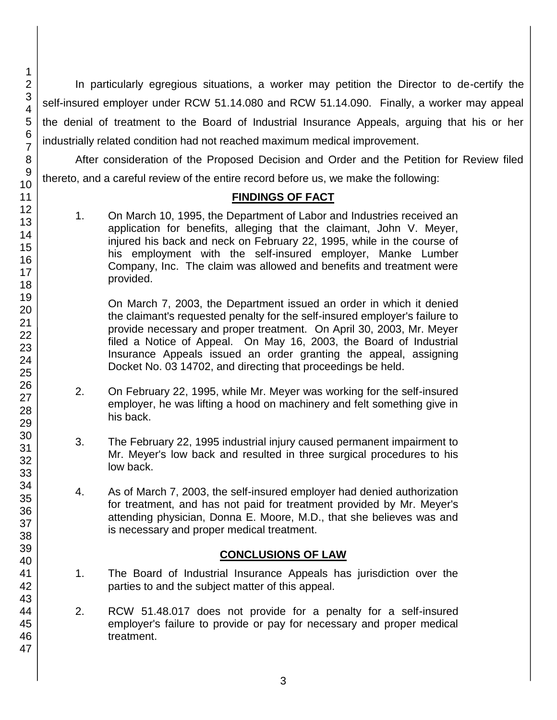In particularly egregious situations, a worker may petition the Director to de-certify the self-insured employer under RCW 51.14.080 and RCW 51.14.090. Finally, a worker may appeal the denial of treatment to the Board of Industrial Insurance Appeals, arguing that his or her industrially related condition had not reached maximum medical improvement.

After consideration of the Proposed Decision and Order and the Petition for Review filed thereto, and a careful review of the entire record before us, we make the following:

#### **FINDINGS OF FACT**

1. On March 10, 1995, the Department of Labor and Industries received an application for benefits, alleging that the claimant, John V. Meyer, injured his back and neck on February 22, 1995, while in the course of his employment with the self-insured employer, Manke Lumber Company, Inc. The claim was allowed and benefits and treatment were provided.

On March 7, 2003, the Department issued an order in which it denied the claimant's requested penalty for the self-insured employer's failure to provide necessary and proper treatment. On April 30, 2003, Mr. Meyer filed a Notice of Appeal. On May 16, 2003, the Board of Industrial Insurance Appeals issued an order granting the appeal, assigning Docket No. 03 14702, and directing that proceedings be held.

- 2. On February 22, 1995, while Mr. Meyer was working for the self-insured employer, he was lifting a hood on machinery and felt something give in his back.
- 3. The February 22, 1995 industrial injury caused permanent impairment to Mr. Meyer's low back and resulted in three surgical procedures to his low back.
- 4. As of March 7, 2003, the self-insured employer had denied authorization for treatment, and has not paid for treatment provided by Mr. Meyer's attending physician, Donna E. Moore, M.D., that she believes was and is necessary and proper medical treatment.

#### **CONCLUSIONS OF LAW**

- 1. The Board of Industrial Insurance Appeals has jurisdiction over the parties to and the subject matter of this appeal.
- 2. RCW 51.48.017 does not provide for a penalty for a self-insured employer's failure to provide or pay for necessary and proper medical treatment.